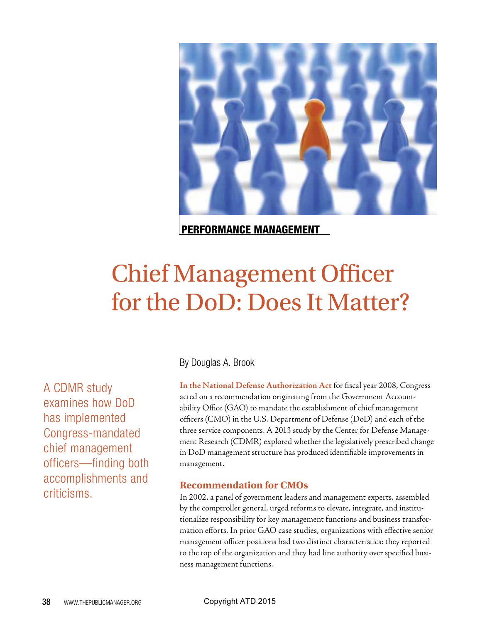

PERFORMANCE MANAGEMENT

# Chief Management Officer for the DoD: Does It Matter?

A CDMR study examines how DoD has implemented Congress-mandated chief management officers—finding both accomplishments and criticisms.

By Douglas A. Brook

**In the National Defense Authorization Act** for fiscal year 2008, Congress acted on a recommendation originating from the Government Accountability Office (GAO) to mandate the establishment of chief management officers (CMO) in the U.S. Department of Defense (DoD) and each of the three service components. A 2013 study by the Center for Defense Management Research (CDMR) explored whether the legislatively prescribed change in DoD management structure has produced identifiable improvements in management.

# **Recommendation for CMOs**

In 2002, a panel of government leaders and management experts, assembled by the comptroller general, urged reforms to elevate, integrate, and institutionalize responsibility for key management functions and business transformation efforts. In prior GAO case studies, organizations with effective senior management officer positions had two distinct characteristics: they reported to the top of the organization and they had line authority over specified business management functions.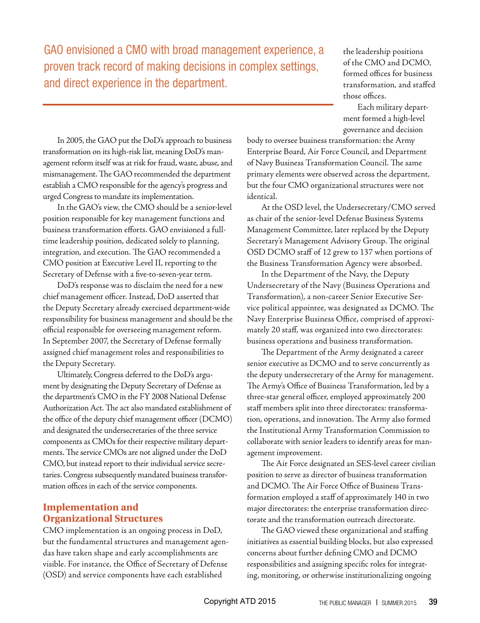GAO envisioned a CMO with broad management experience, a proven track record of making decisions in complex settings, and direct experience in the department.

the leadership positions of the CMO and DCMO, formed offices for business transformation, and staffed those offices.

Each military department formed a high-level governance and decision

In 2005, the GAO put the DoD's approach to business transformation on its high-risk list, meaning DoD's management reform itself was at risk for fraud, waste, abuse, and mismanagement. The GAO recommended the department establish a CMO responsible for the agency's progress and urged Congress to mandate its implementation.

In the GAO's view, the CMO should be a senior-level position responsible for key management functions and business transformation efforts. GAO envisioned a fulltime leadership position, dedicated solely to planning, integration, and execution. The GAO recommended a CMO position at Executive Level II, reporting to the Secretary of Defense with a five-to-seven-year term.

DoD's response was to disclaim the need for a new chief management officer. Instead, DoD asserted that the Deputy Secretary already exercised department-wide responsibility for business management and should be the official responsible for overseeing management reform. In September 2007, the Secretary of Defense formally assigned chief management roles and responsibilities to the Deputy Secretary.

Ultimately, Congress deferred to the DoD's argument by designating the Deputy Secretary of Defense as the department's CMO in the FY 2008 National Defense Authorization Act. The act also mandated establishment of the office of the deputy chief management officer (DCMO) and designated the undersecretaries of the three service components as CMOs for their respective military departments. The service CMOs are not aligned under the DoD CMO, but instead report to their individual service secretaries. Congress subsequently mandated business transformation offices in each of the service components.

# **Implementation and Organizational Structures**

CMO implementation is an ongoing process in DoD, but the fundamental structures and management agendas have taken shape and early accomplishments are visible. For instance, the Office of Secretary of Defense (OSD) and service components have each established

body to oversee business transformation: the Army Enterprise Board, Air Force Council, and Department of Navy Business Transformation Council. The same primary elements were observed across the department, but the four CMO organizational structures were not identical.

At the OSD level, the Undersecretary/CMO served as chair of the senior-level Defense Business Systems Management Committee, later replaced by the Deputy Secretary's Management Advisory Group. The original OSD DCMO staff of 12 grew to 137 when portions of the Business Transformation Agency were absorbed.

In the Department of the Navy, the Deputy Undersecretary of the Navy (Business Operations and Transformation), a non-career Senior Executive Service political appointee, was designated as DCMO. The Navy Enterprise Business Office, comprised of approximately 20 staff, was organized into two directorates: business operations and business transformation.

The Department of the Army designated a career senior executive as DCMO and to serve concurrently as the deputy undersecretary of the Army for management. The Army's Office of Business Transformation, led by a three-star general officer, employed approximately 200 staff members split into three directorates: transformation, operations, and innovation. The Army also formed the Institutional Army Transformation Commission to collaborate with senior leaders to identify areas for management improvement.

The Air Force designated an SES-level career civilian position to serve as director of business transformation and DCMO. The Air Force Office of Business Transformation employed a staff of approximately 140 in two major directorates: the enterprise transformation directorate and the transformation outreach directorate.

The GAO viewed these organizational and staffing initiatives as essential building blocks, but also expressed concerns about further defining CMO and DCMO responsibilities and assigning specific roles for integrating, monitoring, or otherwise institutionalizing ongoing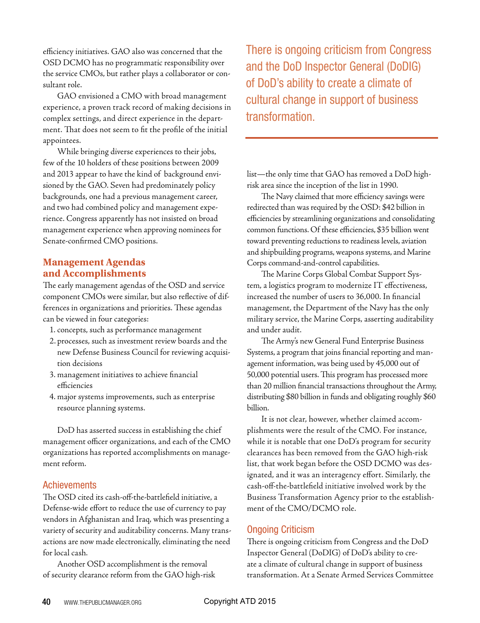efficiency initiatives. GAO also was concerned that the OSD DCMO has no programmatic responsibility over the service CMOs, but rather plays a collaborator or consultant role.

GAO envisioned a CMO with broad management experience, a proven track record of making decisions in complex settings, and direct experience in the department. That does not seem to fit the profile of the initial appointees.

While bringing diverse experiences to their jobs, few of the 10 holders of these positions between 2009 and 2013 appear to have the kind of background envisioned by the GAO. Seven had predominately policy backgrounds, one had a previous management career, and two had combined policy and management experience. Congress apparently has not insisted on broad management experience when approving nominees for Senate-confirmed CMO positions.

### **Management Agendas and Accomplishments**

The early management agendas of the OSD and service component CMOs were similar, but also reflective of differences in organizations and priorities. These agendas can be viewed in four categories:

- 1. concepts, such as performance management
- 2. processes, such as investment review boards and the new Defense Business Council for reviewing acquisition decisions
- 3. management initiatives to achieve financial efficiencies
- 4. major systems improvements, such as enterprise resource planning systems.

DoD has asserted success in establishing the chief management officer organizations, and each of the CMO organizations has reported accomplishments on management reform.

#### **Achievements**

The OSD cited its cash-off-the-battlefield initiative, a Defense-wide effort to reduce the use of currency to pay vendors in Afghanistan and Iraq, which was presenting a variety of security and auditability concerns. Many transactions are now made electronically, eliminating the need for local cash.

Another OSD accomplishment is the removal of security clearance reform from the GAO high-risk There is ongoing criticism from Congress and the DoD Inspector General (DoDIG) of DoD's ability to create a climate of cultural change in support of business transformation.

list—the only time that GAO has removed a DoD highrisk area since the inception of the list in 1990.

The Navy claimed that more efficiency savings were redirected than was required by the OSD: \$42 billion in efficiencies by streamlining organizations and consolidating common functions. Of these efficiencies, \$35 billion went toward preventing reductions to readiness levels, aviation and shipbuilding programs, weapons systems, and Marine Corps command-and-control capabilities.

The Marine Corps Global Combat Support System, a logistics program to modernize IT effectiveness, increased the number of users to 36,000. In financial management, the Department of the Navy has the only military service, the Marine Corps, asserting auditability and under audit.

The Army's new General Fund Enterprise Business Systems, a program that joins financial reporting and management information, was being used by 45,000 out of 50,000 potential users. This program has processed more than 20 million financial transactions throughout the Army, distributing \$80 billion in funds and obligating roughly \$60 billion.

It is not clear, however, whether claimed accomplishments were the result of the CMO. For instance, while it is notable that one DoD's program for security clearances has been removed from the GAO high-risk list, that work began before the OSD DCMO was designated, and it was an interagency effort. Similarly, the cash-off-the-battlefield initiative involved work by the Business Transformation Agency prior to the establishment of the CMO/DCMO role.

#### Ongoing Criticism

There is ongoing criticism from Congress and the DoD Inspector General (DoDIG) of DoD's ability to create a climate of cultural change in support of business transformation. At a Senate Armed Services Committee